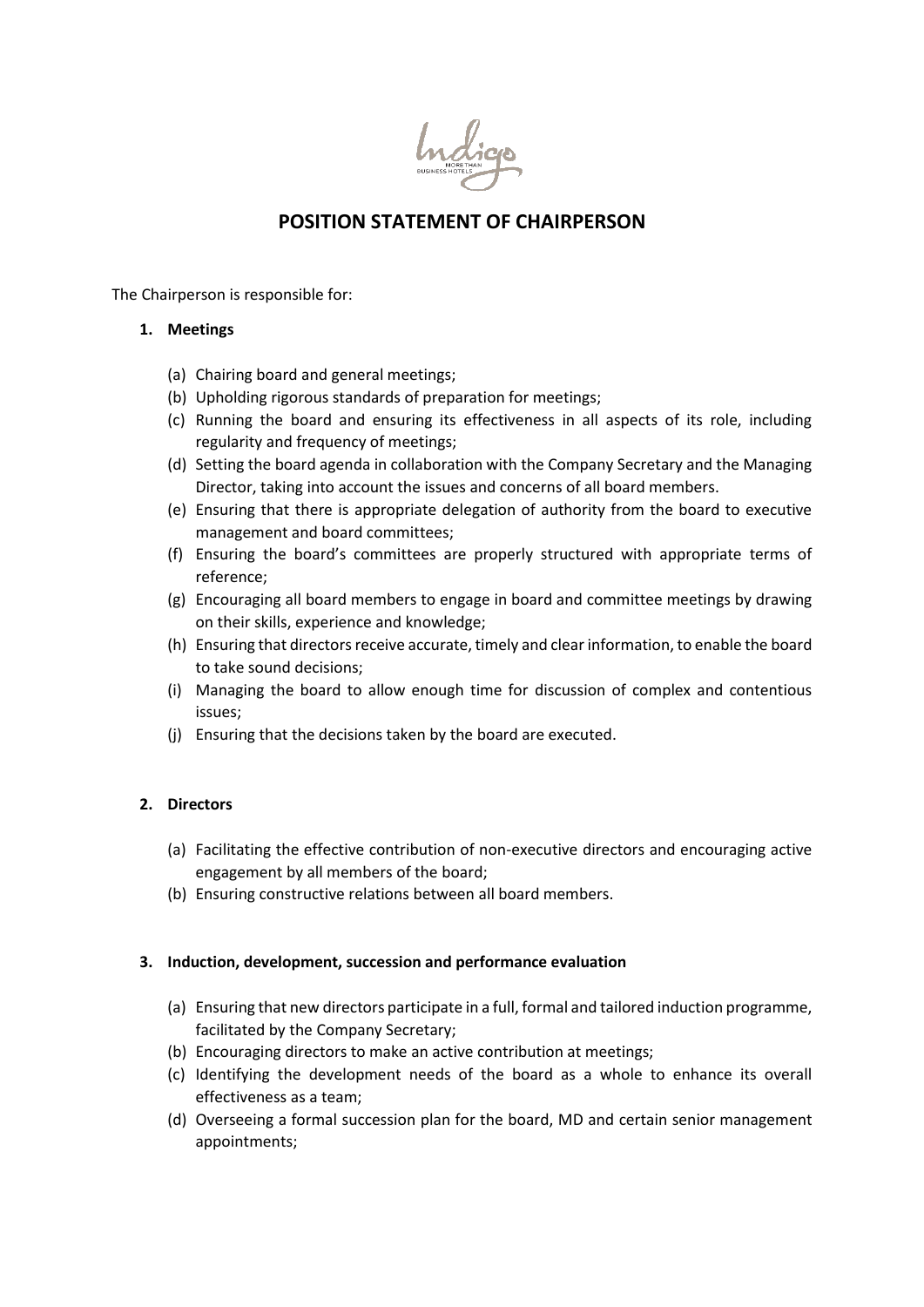

# **POSITION STATEMENT OF CHAIRPERSON**

The Chairperson is responsible for:

## **1. Meetings**

- (a) Chairing board and general meetings;
- (b) Upholding rigorous standards of preparation for meetings;
- (c) Running the board and ensuring its effectiveness in all aspects of its role, including regularity and frequency of meetings;
- (d) Setting the board agenda in collaboration with the Company Secretary and the Managing Director, taking into account the issues and concerns of all board members.
- (e) Ensuring that there is appropriate delegation of authority from the board to executive management and board committees;
- (f) Ensuring the board's committees are properly structured with appropriate terms of reference;
- (g) Encouraging all board members to engage in board and committee meetings by drawing on their skills, experience and knowledge;
- (h) Ensuring that directors receive accurate, timely and clear information, to enable the board to take sound decisions;
- (i) Managing the board to allow enough time for discussion of complex and contentious issues;
- (j) Ensuring that the decisions taken by the board are executed.

# **2. Directors**

- (a) Facilitating the effective contribution of non-executive directors and encouraging active engagement by all members of the board;
- (b) Ensuring constructive relations between all board members.

#### **3. Induction, development, succession and performance evaluation**

- (a) Ensuring that new directors participate in a full, formal and tailored induction programme, facilitated by the Company Secretary;
- (b) Encouraging directors to make an active contribution at meetings;
- (c) Identifying the development needs of the board as a whole to enhance its overall effectiveness as a team;
- (d) Overseeing a formal succession plan for the board, MD and certain senior management appointments;